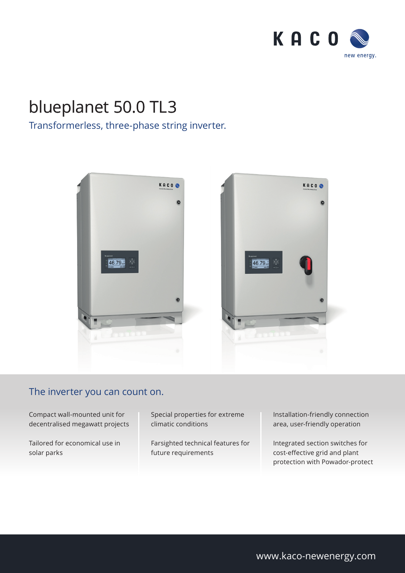

## blueplanet 50.0 TL3

### Transformerless, three-phase string inverter.



#### The inverter you can count on.

Compact wall-mounted unit for decentralised megawatt projects

Tailored for economical use in solar parks

Special properties for extreme climatic conditions

Farsighted technical features for future requirements

Installation-friendly connection area, user-friendly operation

Integrated section switches for cost-effective grid and plant protection with Powador-protect